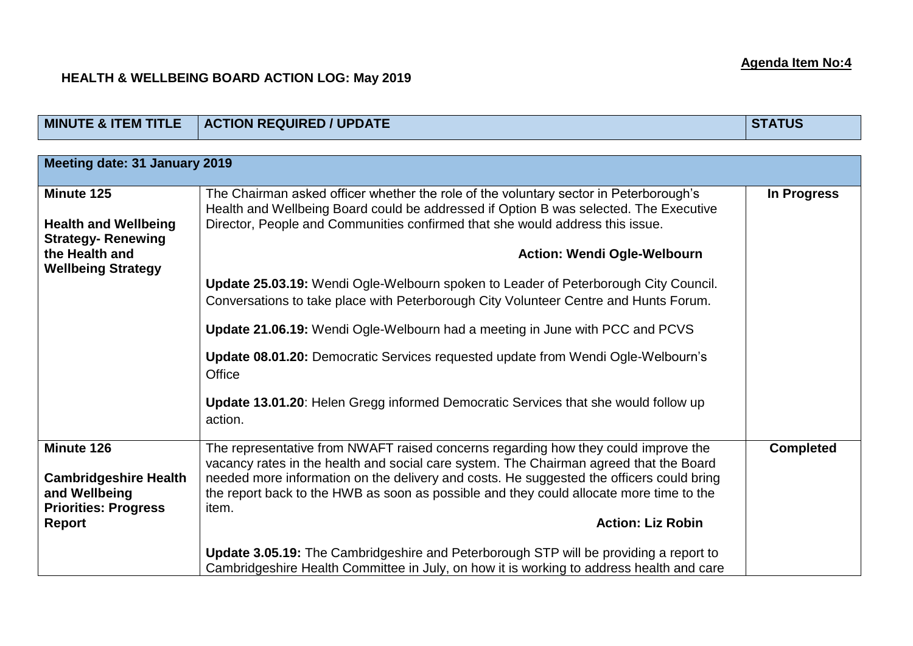## **HEALTH & WELLBEING BOARD ACTION LOG: May 2019**

| <b>MINUTE &amp; ITEM TITLE</b>                                                                                       | <b>ACTION REQUIRED / UPDATE</b>                                                                                                                                                                                                                                                                                                                                                                          | <b>STATUS</b>    |  |  |
|----------------------------------------------------------------------------------------------------------------------|----------------------------------------------------------------------------------------------------------------------------------------------------------------------------------------------------------------------------------------------------------------------------------------------------------------------------------------------------------------------------------------------------------|------------------|--|--|
|                                                                                                                      |                                                                                                                                                                                                                                                                                                                                                                                                          |                  |  |  |
| Meeting date: 31 January 2019                                                                                        |                                                                                                                                                                                                                                                                                                                                                                                                          |                  |  |  |
| Minute 125<br><b>Health and Wellbeing</b><br><b>Strategy-Renewing</b><br>the Health and<br><b>Wellbeing Strategy</b> | The Chairman asked officer whether the role of the voluntary sector in Peterborough's<br>Health and Wellbeing Board could be addressed if Option B was selected. The Executive<br>Director, People and Communities confirmed that she would address this issue.<br><b>Action: Wendi Ogle-Welbourn</b>                                                                                                    | In Progress      |  |  |
|                                                                                                                      | <b>Update 25.03.19:</b> Wendi Ogle-Welbourn spoken to Leader of Peterborough City Council.<br>Conversations to take place with Peterborough City Volunteer Centre and Hunts Forum.<br>Update 21.06.19: Wendi Ogle-Welbourn had a meeting in June with PCC and PCVS                                                                                                                                       |                  |  |  |
|                                                                                                                      | Update 08.01.20: Democratic Services requested update from Wendi Ogle-Welbourn's<br>Office                                                                                                                                                                                                                                                                                                               |                  |  |  |
|                                                                                                                      | <b>Update 13.01.20:</b> Helen Gregg informed Democratic Services that she would follow up<br>action.                                                                                                                                                                                                                                                                                                     |                  |  |  |
| Minute 126<br><b>Cambridgeshire Health</b><br>and Wellbeing<br><b>Priorities: Progress</b><br><b>Report</b>          | The representative from NWAFT raised concerns regarding how they could improve the<br>vacancy rates in the health and social care system. The Chairman agreed that the Board<br>needed more information on the delivery and costs. He suggested the officers could bring<br>the report back to the HWB as soon as possible and they could allocate more time to the<br>item.<br><b>Action: Liz Robin</b> | <b>Completed</b> |  |  |
|                                                                                                                      | Update 3.05.19: The Cambridgeshire and Peterborough STP will be providing a report to<br>Cambridgeshire Health Committee in July, on how it is working to address health and care                                                                                                                                                                                                                        |                  |  |  |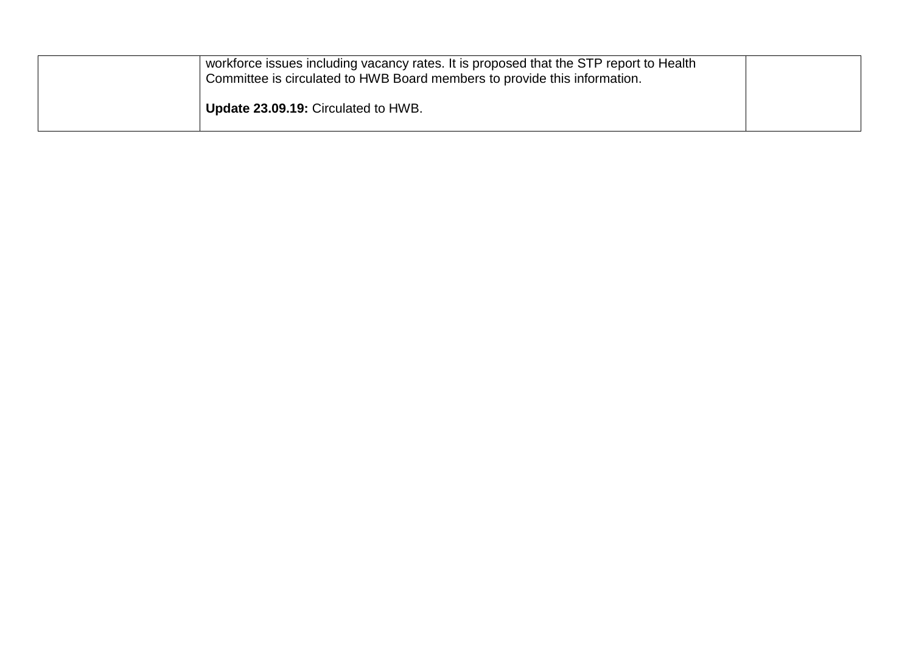| workforce issues including vacancy rates. It is proposed that the STP report to Health<br>Committee is circulated to HWB Board members to provide this information. |  |
|---------------------------------------------------------------------------------------------------------------------------------------------------------------------|--|
| <b>Update 23.09.19: Circulated to HWB.</b>                                                                                                                          |  |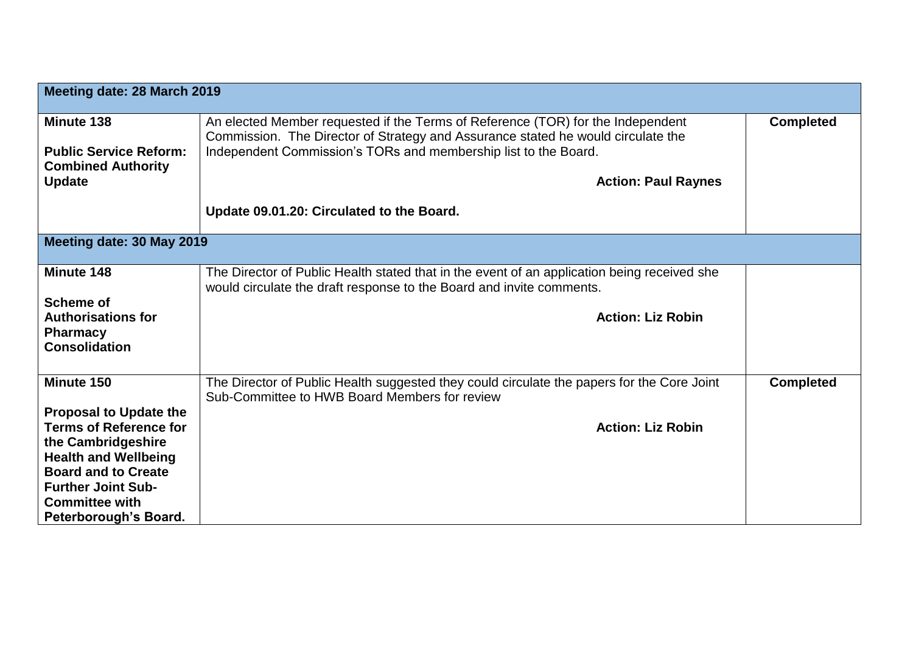| Meeting date: 28 March 2019                         |                                                                                                                                                                     |                  |  |  |
|-----------------------------------------------------|---------------------------------------------------------------------------------------------------------------------------------------------------------------------|------------------|--|--|
| Minute 138                                          | An elected Member requested if the Terms of Reference (TOR) for the Independent<br>Commission. The Director of Strategy and Assurance stated he would circulate the | <b>Completed</b> |  |  |
| <b>Public Service Reform:</b>                       | Independent Commission's TORs and membership list to the Board.                                                                                                     |                  |  |  |
| <b>Combined Authority</b><br><b>Update</b>          | <b>Action: Paul Raynes</b>                                                                                                                                          |                  |  |  |
|                                                     |                                                                                                                                                                     |                  |  |  |
|                                                     | Update 09.01.20: Circulated to the Board.                                                                                                                           |                  |  |  |
| Meeting date: 30 May 2019                           |                                                                                                                                                                     |                  |  |  |
| Minute 148                                          | The Director of Public Health stated that in the event of an application being received she<br>would circulate the draft response to the Board and invite comments. |                  |  |  |
| <b>Scheme of</b>                                    |                                                                                                                                                                     |                  |  |  |
| <b>Authorisations for</b><br><b>Pharmacy</b>        | <b>Action: Liz Robin</b>                                                                                                                                            |                  |  |  |
| <b>Consolidation</b>                                |                                                                                                                                                                     |                  |  |  |
| Minute 150                                          |                                                                                                                                                                     |                  |  |  |
|                                                     | The Director of Public Health suggested they could circulate the papers for the Core Joint<br>Sub-Committee to HWB Board Members for review                         | <b>Completed</b> |  |  |
| <b>Proposal to Update the</b>                       |                                                                                                                                                                     |                  |  |  |
| <b>Terms of Reference for</b><br>the Cambridgeshire | <b>Action: Liz Robin</b>                                                                                                                                            |                  |  |  |
| <b>Health and Wellbeing</b>                         |                                                                                                                                                                     |                  |  |  |
| <b>Board and to Create</b>                          |                                                                                                                                                                     |                  |  |  |
| <b>Further Joint Sub-</b><br><b>Committee with</b>  |                                                                                                                                                                     |                  |  |  |
| Peterborough's Board.                               |                                                                                                                                                                     |                  |  |  |